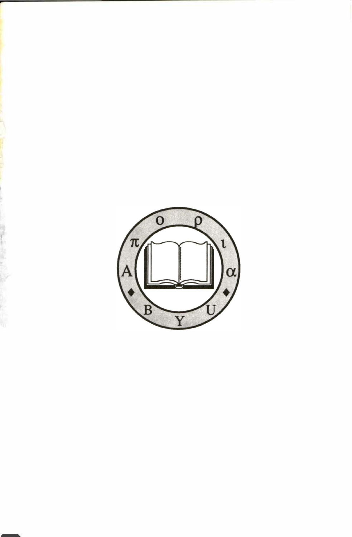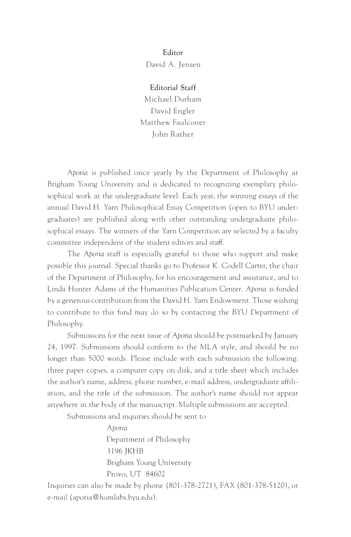**Editor**  David A. Jensen

**Editorial Staff**  Michael Durham David Engler Matthew Faulconer John Rather

Aporia is published once yearly by the Department of Philosophy at Brigham Young University and is dedicated to recognizing exemplary philosophical work at the undergraduate level. Each year, the winning essays of the annual David H. Yarn Philosophical Essay Competition (open to BYU undergraduates) are published along with other outstanding undergraduate philosophical essays. The winners of the Yarn Competition are selected by a faculty committee independent of rhe student editors and staff.

The Aporia staff is especially grateful to those who support and make possible this journal. Special thanks go to Professor K. Codell Carter, the chair of the Department of Philosophy, for his encouragement and assistance, and to Linda Hunter Adams of the Humanities Publication Center. Aporia is funded by a generous contribution from the David H. Yarn Endowment. Those wishing to contribute to this fund may do so by contacting the BYU Department of Philosophy.

Submissions for the next issue of Aporia should be postmarked by January 24, 1997. Submissions should conform to the MLA style, and should be no longer than 5000 words. Please include with each submission the following: three paper copies, a computer copy on disk, and a tide sheet which includes the author's name, address, phone number, e-mail address, undergraduate affiliation, and the title of the submission. The author's name should not appear anywhere in the body of the manuscript. Multiple submissions are accepted.

Submissions and inquiries should be sent to

Aporia Department of Philosophy 3196 JKHB Brigham Young University Provo, UT 84602

Inquiries can also be made by phone (801-378-2721), FAX (801-378-5120), or e-mail (aporia@humlabs.byu.edu).